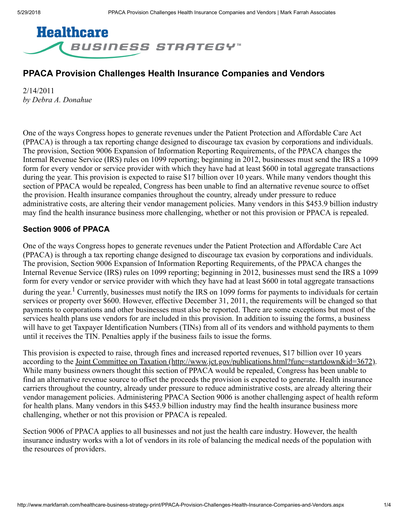

## PPACA Provision Challenges Health Insurance Companies and Vendors

2/14/2011 *by Debra A. Donahue*

One of the ways Congress hopes to generate revenues under the Patient Protection and Affordable Care Act (PPACA) is through a tax reporting change designed to discourage tax evasion by corporations and individuals. The provision, Section 9006 Expansion of Information Reporting Requirements, of the PPACA changes the Internal Revenue Service (IRS) rules on 1099 reporting; beginning in 2012, businesses must send the IRS a 1099 form for every vendor or service provider with which they have had at least \$600 in total aggregate transactions during the year. This provision is expected to raise \$17 billion over 10 years. While many vendors thought this section of PPACA would be repealed, Congress has been unable to find an alternative revenue source to offset the provision. Health insurance companies throughout the country, already under pressure to reduce administrative costs, are altering their vendor management policies. Many vendors in this \$453.9 billion industry may find the health insurance business more challenging, whether or not this provision or PPACA is repealed.

## Section 9006 of PPACA

One of the ways Congress hopes to generate revenues under the Patient Protection and Affordable Care Act (PPACA) is through a tax reporting change designed to discourage tax evasion by corporations and individuals. The provision, Section 9006 Expansion of Information Reporting Requirements, of the PPACA changes the Internal Revenue Service (IRS) rules on 1099 reporting; beginning in 2012, businesses must send the IRS a 1099 form for every vendor or service provider with which they have had at least \$600 in total aggregate transactions during the year.<sup>1</sup> Currently, businesses must notify the IRS on 1099 forms for payments to individuals for certain services or property over \$600. However, effective December 31, 2011, the requirements will be changed so that payments to corporations and other businesses must also be reported. There are some exceptions but most of the services health plans use vendors for are included in this provision. In addition to issuing the forms, a business will have to get Taxpayer Identification Numbers (TINs) from all of its vendors and withhold payments to them until it receives the TIN. Penalties apply if the business fails to issue the forms.

This provision is expected to raise, through fines and increased reported revenues, \$17 billion over 10 years according to the [Joint Committee on Taxation \(http://www.jct.gov/publications.html?func=startdown&id=3672\).](http://www.jct.gov/publications.html?func=startdown&id=3672) While many business owners thought this section of PPACA would be repealed, Congress has been unable to find an alternative revenue source to offset the proceeds the provision is expected to generate. Health insurance carriers throughout the country, already under pressure to reduce administrative costs, are already altering their vendor management policies. Administering PPACA Section 9006 is another challenging aspect of health reform for health plans. Many vendors in this \$453.9 billion industry may find the health insurance business more challenging, whether or not this provision or PPACA is repealed.

Section 9006 of PPACA applies to all businesses and not just the health care industry. However, the health insurance industry works with a lot of vendors in its role of balancing the medical needs of the population with the resources of providers.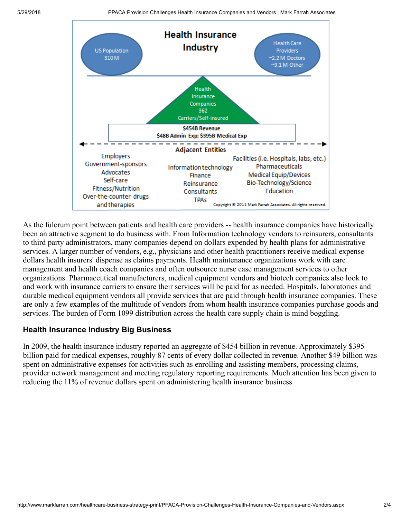

As the fulcrum point between patients and health care providers -- health insurance companies have historically been an attractive segment to do business with. From Information technology vendors to reinsurers, consultants to third party administrators, many companies depend on dollars expended by health plans for administrative services. A larger number of vendors, e.g., physicians and other health practitioners receive medical expense dollars health insurers' dispense as claims payments. Health maintenance organizations work with care management and health coach companies and often outsource nurse case management services to other organizations. Pharmaceutical manufacturers, medical equipment vendors and biotech companies also look to and work with insurance carriers to ensure their services will be paid for as needed. Hospitals, laboratories and durable medical equipment vendors all provide services that are paid through health insurance companies. These are only a few examples of the multitude of vendors from whom health insurance companies purchase goods and services. The burden of Form 1099 distribution across the health care supply chain is mind boggling.

## Health Insurance Industry Big Business

In 2009, the health insurance industry reported an aggregate of \$454 billion in revenue. Approximately \$395 billion paid for medical expenses, roughly 87 cents of every dollar collected in revenue. Another \$49 billion was spent on administrative expenses for activities such as enrolling and assisting members, processing claims, provider network management and meeting regulatory reporting requirements. Much attention has been given to reducing the 11% of revenue dollars spent on administering health insurance business.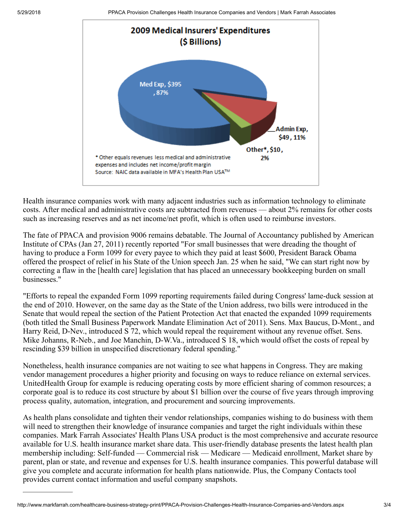

Health insurance companies work with many adjacent industries such as information technology to eliminate costs. After medical and administrative costs are subtracted from revenues — about 2% remains for other costs such as increasing reserves and as net income/net profit, which is often used to reimburse investors.

The fate of PPACA and provision 9006 remains debatable. The Journal of Accountancy published by American Institute of CPAs (Jan 27, 2011) recently reported "For small businesses that were dreading the thought of having to produce a Form 1099 for every payee to which they paid at least \$600, President Barack Obama offered the prospect of relief in his State of the Union speech Jan. 25 when he said, "We can start right now by correcting a flaw in the [health care] legislation that has placed an unnecessary bookkeeping burden on small businesses."

"Efforts to repeal the expanded Form 1099 reporting requirements failed during Congress' lame-duck session at the end of 2010. However, on the same day as the State of the Union address, two bills were introduced in the Senate that would repeal the section of the Patient Protection Act that enacted the expanded 1099 requirements (both titled the Small Business Paperwork Mandate Elimination Act of 2011). Sens. Max Baucus, D-Mont., and Harry Reid, D-Nev., introduced S 72, which would repeal the requirement without any revenue offset. Sens. Mike Johanns, R-Neb., and Joe Manchin, D-W.Va., introduced S 18, which would offset the costs of repeal by rescinding \$39 billion in unspecified discretionary federal spending."

Nonetheless, health insurance companies are not waiting to see what happens in Congress. They are making vendor management procedures a higher priority and focusing on ways to reduce reliance on external services. UnitedHealth Group for example is reducing operating costs by more efficient sharing of common resources; a corporate goal is to reduce its cost structure by about \$1 billion over the course of five years through improving process quality, automation, integration, and procurement and sourcing improvements.

As health plans consolidate and tighten their vendor relationships, companies wishing to do business with them will need to strengthen their knowledge of insurance companies and target the right individuals within these companies. Mark Farrah Associates' Health Plans USA product is the most comprehensive and accurate resource available for U.S. health insurance market share data. This user-friendly database presents the latest health plan membership including: Self-funded — Commercial risk — Medicare — Medicaid enrollment, Market share by parent, plan or state, and revenue and expenses for U.S. health insurance companies. This powerful database will give you complete and accurate information for health plans nationwide. Plus, the Company Contacts tool provides current contact information and useful company snapshots.